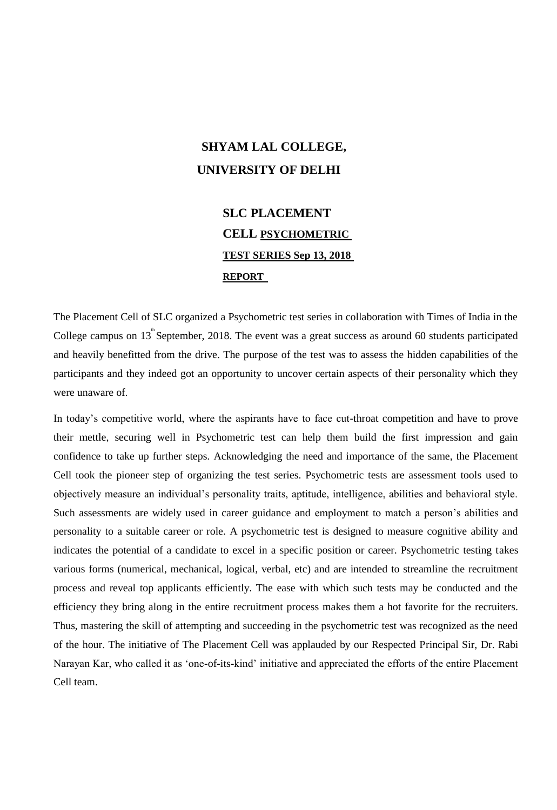## **SHYAM LAL COLLEGE, UNIVERSITY OF DELHI**

## **SLC PLACEMENT CELL PSYCHOMETRIC TEST SERIES Sep 13, 2018 REPORT**

The Placement Cell of SLC organized a Psychometric test series in collaboration with Times of India in the College campus on  $13^{\text{th}}$  September, 2018. The event was a great success as around 60 students participated and heavily benefitted from the drive. The purpose of the test was to assess the hidden capabilities of the participants and they indeed got an opportunity to uncover certain aspects of their personality which they were unaware of.

In today's competitive world, where the aspirants have to face cut-throat competition and have to prove their mettle, securing well in Psychometric test can help them build the first impression and gain confidence to take up further steps. Acknowledging the need and importance of the same, the Placement Cell took the pioneer step of organizing the test series. Psychometric tests are assessment tools used to objectively measure an individual's personality traits, aptitude, intelligence, abilities and behavioral style. Such assessments are widely used in career guidance and employment to match a person's abilities and personality to a suitable career or role. A psychometric test is designed to measure cognitive ability and indicates the potential of a candidate to excel in a specific position or career. Psychometric testing takes various forms (numerical, mechanical, logical, verbal, etc) and are intended to streamline the recruitment process and reveal top applicants efficiently. The ease with which such tests may be conducted and the efficiency they bring along in the entire recruitment process makes them a hot favorite for the recruiters. Thus, mastering the skill of attempting and succeeding in the psychometric test was recognized as the need of the hour. The initiative of The Placement Cell was applauded by our Respected Principal Sir, Dr. Rabi Narayan Kar, who called it as 'one-of-its-kind' initiative and appreciated the efforts of the entire Placement Cell team.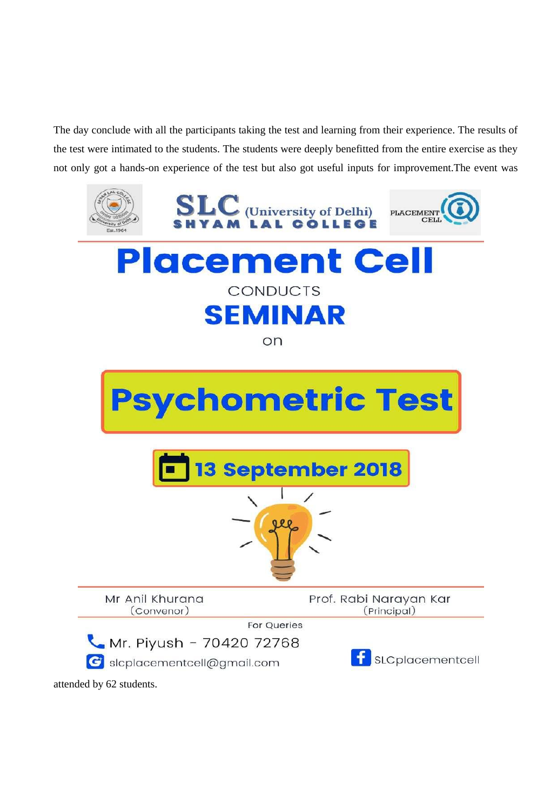The day conclude with all the participants taking the test and learning from their experience. The results of the test were intimated to the students. The students were deeply benefitted from the entire exercise as they not only got a hands-on experience of the test but also got useful inputs for improvement.The event was



attended by 62 students.